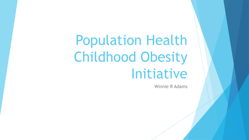# Population Health Childhood Obesity Initiative

Winnie R Adams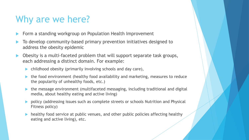#### Why are we here?

- Form a standing workgroup on Population Health Improvement
- To develop community-based primary prevention initiatives designed to address the obesity epidemic
- Obesity is a multi-faceted problem that will support separate task groups, each addressing a distinct domain. For example:
	- childhood obesity (primarily involving schools and day care),
	- the food environment (healthy food availability and marketing, measures to reduce the popularity of unhealthy foods, etc.)
	- the message environment (multifaceted messaging, including traditional and digital media, about healthy eating and active living)
	- policy (addressing issues such as complete streets or schools Nutrition and Physical Fitness policy)
	- healthy food service at public venues, and other public policies affecting healthy eating and active living), etc.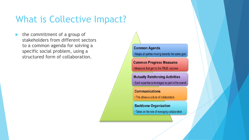#### What is Collective Impact?

 the commitment of a group of stakeholders from different sectors to a common agenda for solving a specific social problem, using a structured form of collaboration.

**Common Agenda** . Keeps all parties moving towards the same goal

**Common Progress Measures** . Measures that gert to the TRUE outcome

**Mutually Reinforcing Activities** . Each expertise is leveraged as part of the overall

**Communications** • This allows a culture of collaboration

**Backbone Organization** • Takes on the role of managing collaboration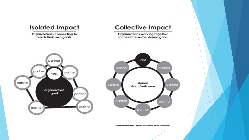

\*adapted from Building Capacity for Callective Impact Toolkit Series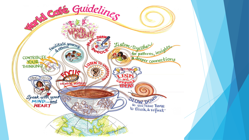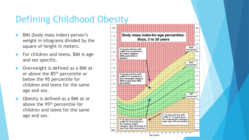## Defining Childhood Obesity

- BMI (body mass index)-person's weight in kilograms divided by the square of height in meters.
- For children and teens, BMI is age and sex specific.
- Overweight is defined as a BMI at or above the 85<sup>th</sup> percentile or below the 95 percentile for children and teens for the same age and sex.
- Obesity is defined as a BMI at or above the 95th percentile for children and teens for the same age and sex.

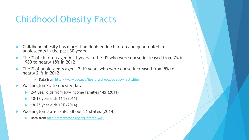### Childhood Obesity Facts

- Childhood obesity has more than doubled in children and quadrupled in adolescents in the past 30 years
- The % of children aged 6-11 years in the US who were obese increased from 7% in 1980 to nearly 18% in 2012
- The % of adolescents aged 12-19 years who were obese increased from 5% to nearly 21% in 2012
	- ▶ Data from <http://www.cdc.gov/healthyschools/obesity/facts.htm>
- Washington State obesity data:
	- ▶ 2-4 year olds from low-income families 14% (2011)
	- 10-17 year olds 11% (2011)
	- 18-25 year olds 19% (2014)
- Washington state ranks 38 out 51 states (2014)
	- Data from<http://stateofobesity.org/states/wa/>